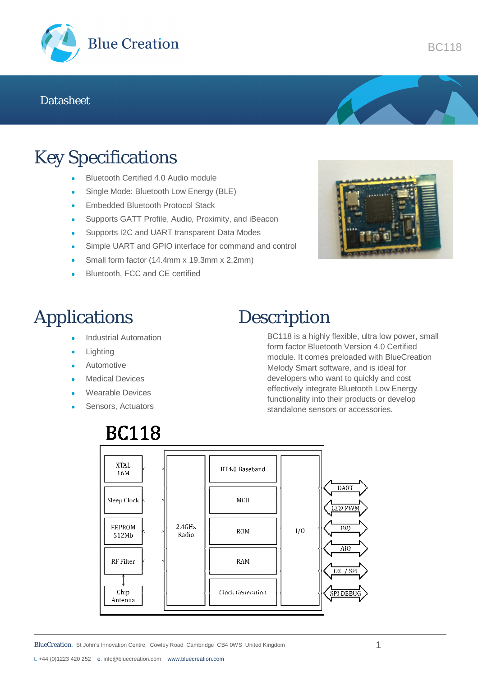

### Key Specifications

- Bluetooth Certified 4.0 Audio module
- Single Mode: Bluetooth Low Energy (BLE)
- **Embedded Bluetooth Protocol Stack**
- Supports GATT Profile, Audio, Proximity, and iBeacon
- **Supports I2C and UART transparent Data Modes**
- Simple UART and GPIO interface for command and control
- Small form factor (14.4mm x 19.3mm x 2.2mm)
- Bluetooth, FCC and CE certified



## Applications

- Industrial Automation
- Lighting
- Automotive
- Medical Devices
- Wearable Devices
- Sensors, Actuators

### Description

BC118 is a highly flexible, ultra low power, small form factor Bluetooth Version 4.0 Certified module. It comes preloaded with BlueCreation Melody Smart software, and is ideal for developers who want to quickly and cost effectively integrate Bluetooth Low Energy functionality into their products or develop standalone sensors or accessories.



t. +44 (0)1223 420 252 e. info@bluecreation.com www.bluecreation.com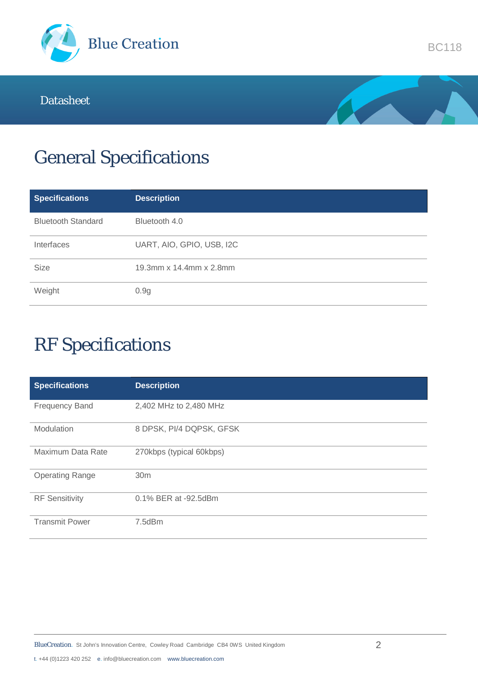



# General Specifications

| <b>Specifications</b>     | <b>Description</b>        |
|---------------------------|---------------------------|
| <b>Bluetooth Standard</b> | Bluetooth 4.0             |
| Interfaces                | UART, AIO, GPIO, USB, I2C |
| <b>Size</b>               | 19.3mm x 14.4mm x 2.8mm   |
| Weight                    | 0.9g                      |

# RF Specifications

| <b>Specifications</b>  | <b>Description</b>       |
|------------------------|--------------------------|
| <b>Frequency Band</b>  | 2,402 MHz to 2,480 MHz   |
| Modulation             | 8 DPSK, PI/4 DQPSK, GFSK |
| Maximum Data Rate      | 270kbps (typical 60kbps) |
| <b>Operating Range</b> | 30 <sub>m</sub>          |
| <b>RF</b> Sensitivity  | 0.1% BER at -92.5dBm     |
| <b>Transmit Power</b>  | 7.5dBm                   |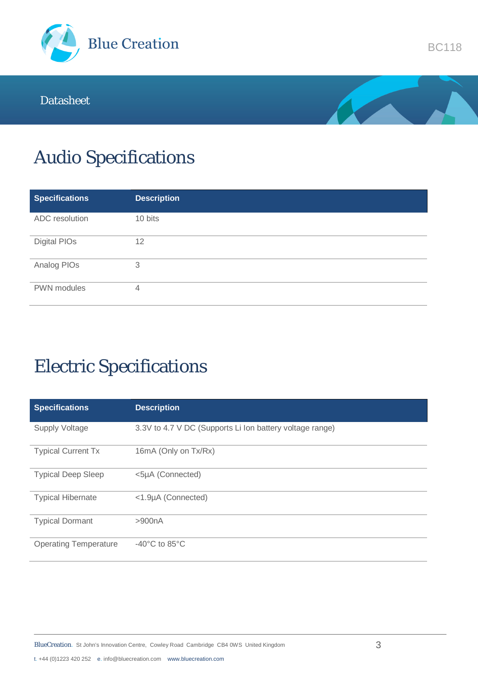



# Audio Specifications

| <b>Specifications</b> | <b>Description</b> |
|-----------------------|--------------------|
| ADC resolution        | 10 bits            |
| Digital PIOs          | 12                 |
| Analog PIOs           | 3                  |
| PWN modules           | 4                  |

# Electric Specifications

| <b>Specifications</b>        | <b>Description</b>                                       |
|------------------------------|----------------------------------------------------------|
| <b>Supply Voltage</b>        | 3.3V to 4.7 V DC (Supports Li Ion battery voltage range) |
| <b>Typical Current Tx</b>    | 16mA (Only on Tx/Rx)                                     |
| <b>Typical Deep Sleep</b>    | <5µA (Connected)                                         |
| <b>Typical Hibernate</b>     | <1.9µA (Connected)                                       |
| <b>Typical Dormant</b>       | >900nA                                                   |
| <b>Operating Temperature</b> | -40 $^{\circ}$ C to 85 $^{\circ}$ C                      |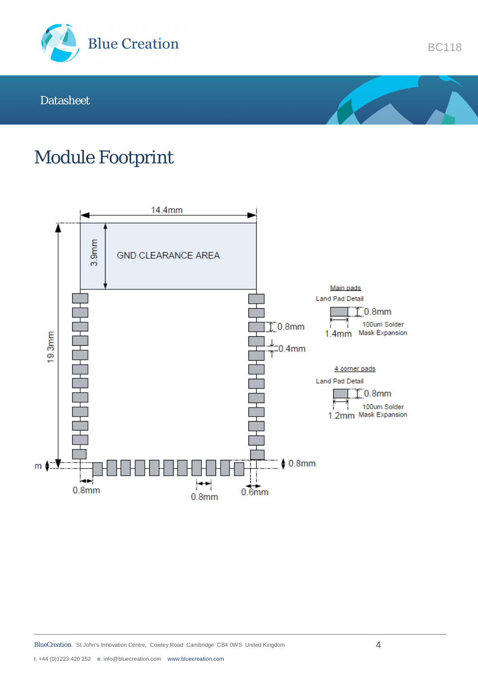



### Module Footprint

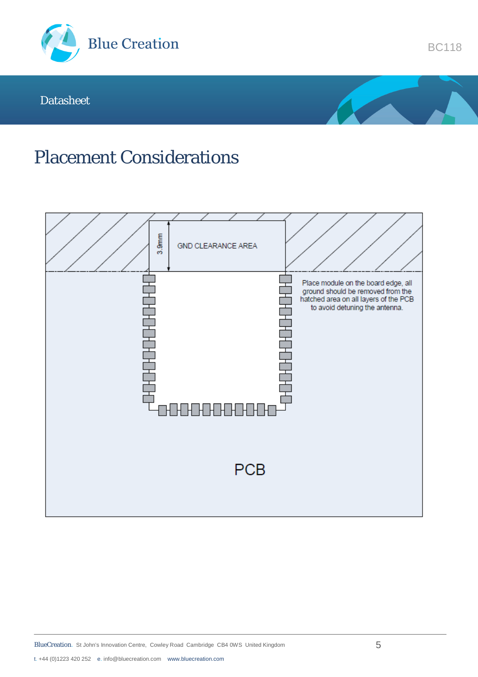



### Placement Considerations

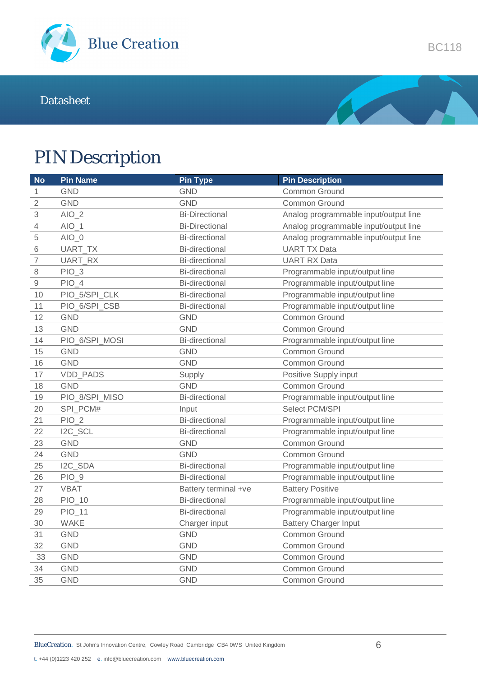



## PIN Description

| <b>No</b>      | <b>Pin Name</b> | <b>Pin Type</b>       | <b>Pin Description</b>                |  |
|----------------|-----------------|-----------------------|---------------------------------------|--|
| 1              | <b>GND</b>      | <b>GND</b>            | Common Ground                         |  |
| $\sqrt{2}$     | <b>GND</b>      | <b>GND</b>            | Common Ground                         |  |
| 3              | $AIO_2$         | <b>Bi-Directional</b> | Analog programmable input/output line |  |
| 4              | $AIO_1$         | <b>Bi-Directional</b> | Analog programmable input/output line |  |
| $\mathbf 5$    | $AIO_0$         | <b>Bi-directional</b> | Analog programmable input/output line |  |
| 6              | UART_TX         | <b>Bi-directional</b> | <b>UART TX Data</b>                   |  |
| $\overline{7}$ | UART_RX         | <b>Bi-directional</b> | <b>UART RX Data</b>                   |  |
| $\,8\,$        | $PIO_3$         | <b>Bi-directional</b> | Programmable input/output line        |  |
| $\hbox{9}$     | $PIO_4$         | <b>Bi-directional</b> | Programmable input/output line        |  |
| 10             | PIO_5/SPI_CLK   | <b>Bi-directional</b> | Programmable input/output line        |  |
| 11             | PIO_6/SPI_CSB   | <b>Bi-directional</b> | Programmable input/output line        |  |
| 12             | <b>GND</b>      | <b>GND</b>            | Common Ground                         |  |
| 13             | <b>GND</b>      | <b>GND</b>            | Common Ground                         |  |
| 14             | PIO_6/SPI_MOSI  | <b>Bi-directional</b> | Programmable input/output line        |  |
| 15             | <b>GND</b>      | <b>GND</b>            | Common Ground                         |  |
| 16             | <b>GND</b>      | <b>GND</b>            | Common Ground                         |  |
| 17             | <b>VDD PADS</b> | Supply                | Positive Supply input                 |  |
| 18             | <b>GND</b>      | <b>GND</b>            | Common Ground                         |  |
| 19             | PIO_8/SPI_MISO  | <b>Bi-directional</b> | Programmable input/output line        |  |
| 20             | SPI_PCM#        | Input                 | Select PCM/SPI                        |  |
| 21             | $PIO_2$         | <b>Bi-directional</b> | Programmable input/output line        |  |
| 22             | I2C_SCL         | <b>Bi-directional</b> | Programmable input/output line        |  |
| 23             | <b>GND</b>      | <b>GND</b>            | Common Ground                         |  |
| 24             | <b>GND</b>      | <b>GND</b>            | Common Ground                         |  |
| 25             | I2C SDA         | <b>Bi-directional</b> | Programmable input/output line        |  |
| 26             | $PIO_9$         | <b>Bi-directional</b> | Programmable input/output line        |  |
| 27             | <b>VBAT</b>     | Battery terminal +ve  | <b>Battery Positive</b>               |  |
| 28             | $PIO_10$        | <b>Bi-directional</b> | Programmable input/output line        |  |
| 29             | $PIO_11$        | <b>Bi-directional</b> | Programmable input/output line        |  |
| 30             | <b>WAKE</b>     | Charger input         | <b>Battery Charger Input</b>          |  |
| 31             | <b>GND</b>      | <b>GND</b>            | Common Ground                         |  |
| 32             | <b>GND</b>      | GND                   | Common Ground                         |  |
| 33             | <b>GND</b>      | <b>GND</b>            | Common Ground                         |  |
| 34             | <b>GND</b>      | <b>GND</b>            | Common Ground                         |  |
| 35             | <b>GND</b>      | <b>GND</b>            | Common Ground                         |  |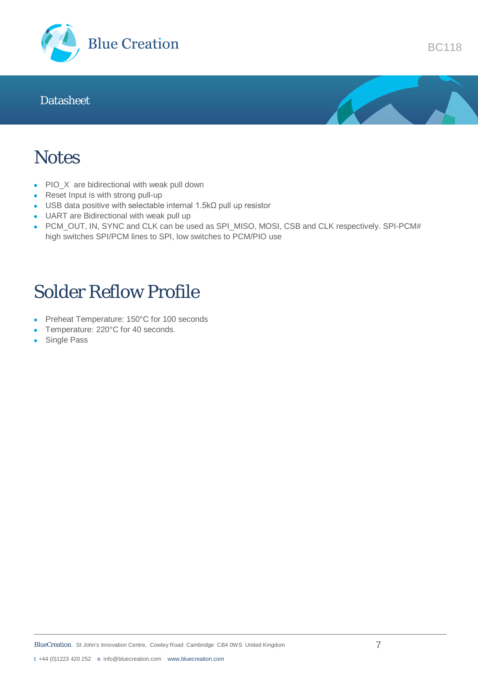



BC118

### **Notes**

- PIO\_X are bidirectional with weak pull down
- Reset Input is with strong pull-up
- USB data positive with selectable internal 1.5kΩ pull up resistor
- UART are Bidirectional with weak pull up
- PCM\_OUT, IN, SYNC and CLK can be used as SPI\_MISO, MOSI, CSB and CLK respectively. SPI-PCM# high switches SPI/PCM lines to SPI, low switches to PCM/PIO use

## Solder Reflow Profile

- Preheat Temperature: 150°C for 100 seconds
- Temperature: 220°C for 40 seconds.
- Single Pass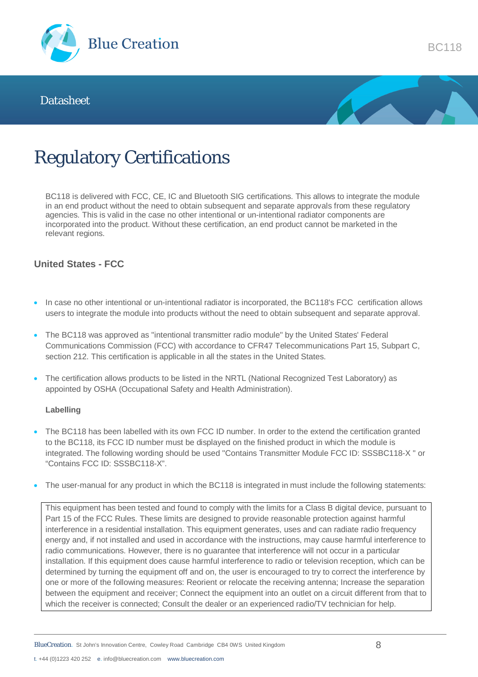



## Regulatory Certifications

BC118 is delivered with FCC, CE, IC and Bluetooth SIG certifications. This allows to integrate the module in an end product without the need to obtain subsequent and separate approvals from these regulatory agencies. This is valid in the case no other intentional or un-intentional radiator components are incorporated into the product. Without these certification, an end product cannot be marketed in the relevant regions.

### **United States - FCC**

- In case no other intentional or un-intentional radiator is incorporated, the BC118's FCC certification allows users to integrate the module into products without the need to obtain subsequent and separate approval.
- The BC118 was approved as "intentional transmitter radio module" by the United States' Federal Communications Commission (FCC) with accordance to CFR47 Telecommunications Part 15, Subpart C, section 212. This certification is applicable in all the states in the United States.
- The certification allows products to be listed in the NRTL (National Recognized Test Laboratory) as appointed by OSHA (Occupational Safety and Health Administration).

#### **Labelling**

- The BC118 has been labelled with its own FCC ID number. In order to the extend the certification granted to the BC118, its FCC ID number must be displayed on the finished product in which the module is integrated. The following wording should be used "Contains Transmitter Module FCC ID: SSSBC118-X " or "Contains FCC ID: SSSBC118-X".
- The user-manual for any product in which the BC118 is integrated in must include the following statements:

This equipment has been tested and found to comply with the limits for a Class B digital device, pursuant to Part 15 of the FCC Rules. These limits are designed to provide reasonable protection against harmful interference in a residential installation. This equipment generates, uses and can radiate radio frequency energy and, if not installed and used in accordance with the instructions, may cause harmful interference to radio communications. However, there is no guarantee that interference will not occur in a particular installation. If this equipment does cause harmful interference to radio or television reception, which can be determined by turning the equipment off and on, the user is encouraged to try to correct the interference by one or more of the following measures: Reorient or relocate the receiving antenna; Increase the separation between the equipment and receiver; Connect the equipment into an outlet on a circuit different from that to which the receiver is connected; Consult the dealer or an experienced radio/TV technician for help.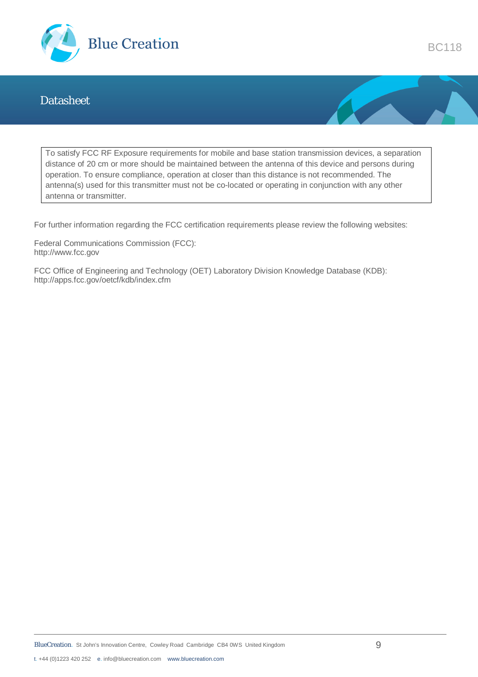

To satisfy FCC RF Exposure requirements for mobile and base station transmission devices, a separation distance of 20 cm or more should be maintained between the antenna of this device and persons during operation. To ensure compliance, operation at closer than this distance is not recommended. The antenna(s) used for this transmitter must not be co-located or operating in conjunction with any other antenna or transmitter.

For further information regarding the FCC certification requirements please review the following websites:

Federal Communications Commission (FCC): http://www.fcc.gov

FCC Office of Engineering and Technology (OET) Laboratory Division Knowledge Database (KDB): http://apps.fcc.gov/oetcf/kdb/index.cfm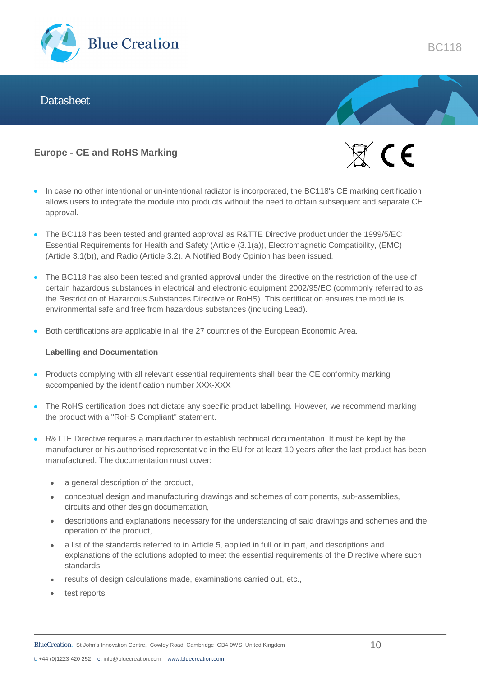

#### **Europe - CE and RoHS Marking**



- In case no other intentional or un-intentional radiator is incorporated, the BC118's CE marking certification allows users to integrate the module into products without the need to obtain subsequent and separate CE approval.
- The BC118 has been tested and granted approval as R&TTE Directive product under the 1999/5/EC Essential Requirements for Health and Safety (Article (3.1(a)), Electromagnetic Compatibility, (EMC) (Article 3.1(b)), and Radio (Article 3.2). A Notified Body Opinion has been issued.
- The BC118 has also been tested and granted approval under the directive on the restriction of the use of certain hazardous substances in electrical and electronic equipment 2002/95/EC (commonly referred to as the Restriction of Hazardous Substances Directive or RoHS). This certification ensures the module is environmental safe and free from hazardous substances (including Lead).
- Both certifications are applicable in all the 27 countries of the European Economic Area.

#### **Labelling and Documentation**

- Products complying with all relevant essential requirements shall bear the CE conformity marking accompanied by the identification number XXX-XXX
- The RoHS certification does not dictate any specific product labelling. However, we recommend marking the product with a "RoHS Compliant" statement.
- R&TTE Directive requires a manufacturer to establish technical documentation. It must be kept by the manufacturer or his authorised representative in the EU for at least 10 years after the last product has been manufactured. The documentation must cover:
	- a general description of the product,
	- conceptual design and manufacturing drawings and schemes of components, sub-assemblies, circuits and other design documentation,
	- descriptions and explanations necessary for the understanding of said drawings and schemes and the operation of the product,
	- a list of the standards referred to in Article 5, applied in full or in part, and descriptions and explanations of the solutions adopted to meet the essential requirements of the Directive where such standards
	- results of design calculations made, examinations carried out, etc.,
	- test reports.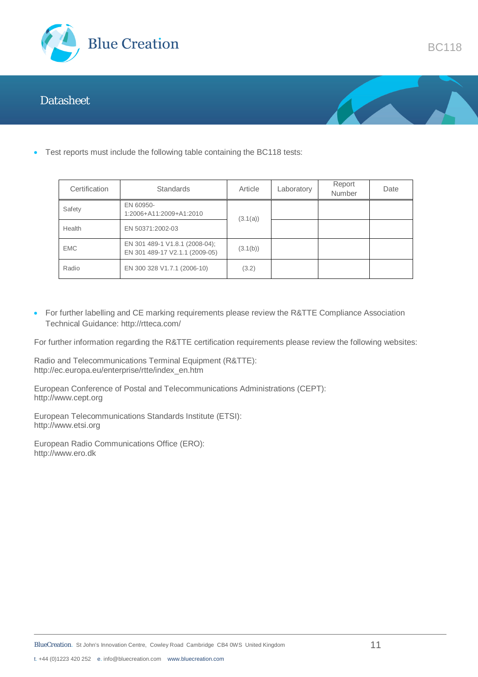



BC118

Test reports must include the following table containing the BC118 tests:

| Certification | <b>Standards</b>                                                 | Article  | Laboratory | Report<br>Number | Date |
|---------------|------------------------------------------------------------------|----------|------------|------------------|------|
| Safety        | EN 60950-<br>1:2006+A11:2009+A1:2010                             | (3.1(a)) |            |                  |      |
| Health        | EN 50371:2002-03                                                 |          |            |                  |      |
| <b>EMC</b>    | EN 301 489-1 V1.8.1 (2008-04);<br>EN 301 489-17 V2.1.1 (2009-05) | (3.1(b)) |            |                  |      |
| Radio         | EN 300 328 V1.7.1 (2006-10)                                      | (3.2)    |            |                  |      |

• For further labelling and CE marking requirements please review the R&TTE Compliance Association Technical Guidance: http://rtteca.com/

For further information regarding the R&TTE certification requirements please review the following websites:

Radio and Telecommunications Terminal Equipment (R&TTE): http://ec.europa.eu/enterprise/rtte/index\_en.htm

European Conference of Postal and Telecommunications Administrations (CEPT): http://www.cept.org

European Telecommunications Standards Institute (ETSI): http://www.etsi.org

European Radio Communications Office (ERO): http://www.ero.dk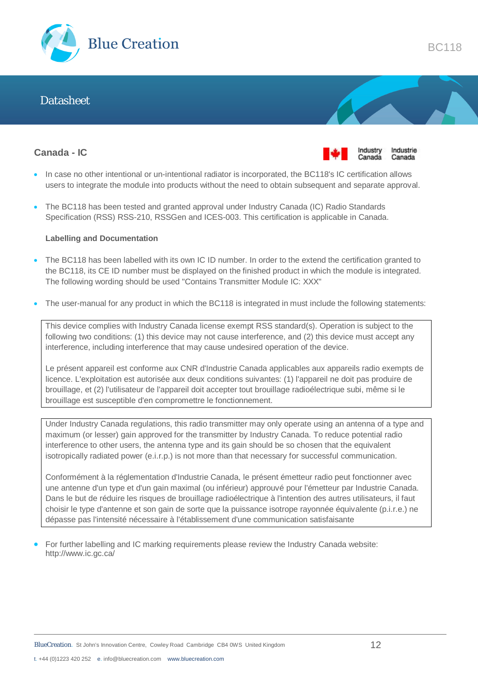

#### **Canada - IC**



- In case no other intentional or un-intentional radiator is incorporated, the BC118's IC certification allows users to integrate the module into products without the need to obtain subsequent and separate approval.
- The BC118 has been tested and granted approval under Industry Canada (IC) Radio Standards Specification (RSS) RSS-210, RSSGen and ICES-003. This certification is applicable in Canada.

#### **Labelling and Documentation**

- The BC118 has been labelled with its own IC ID number. In order to the extend the certification granted to the BC118, its CE ID number must be displayed on the finished product in which the module is integrated. The following wording should be used "Contains Transmitter Module IC: XXX"
- The user-manual for any product in which the BC118 is integrated in must include the following statements:

This device complies with Industry Canada license exempt RSS standard(s). Operation is subject to the following two conditions: (1) this device may not cause interference, and (2) this device must accept any interference, including interference that may cause undesired operation of the device.

Le présent appareil est conforme aux CNR d'Industrie Canada applicables aux appareils radio exempts de licence. L'exploitation est autorisée aux deux conditions suivantes: (1) l'appareil ne doit pas produire de brouillage, et (2) l'utilisateur de l'appareil doit accepter tout brouillage radioélectrique subi, même si le brouillage est susceptible d'en compromettre le fonctionnement.

Under Industry Canada regulations, this radio transmitter may only operate using an antenna of a type and maximum (or lesser) gain approved for the transmitter by Industry Canada. To reduce potential radio interference to other users, the antenna type and its gain should be so chosen that the equivalent isotropically radiated power (e.i.r.p.) is not more than that necessary for successful communication.

Conformément à la réglementation d'Industrie Canada, le présent émetteur radio peut fonctionner avec une antenne d'un type et d'un gain maximal (ou inférieur) approuvé pour l'émetteur par Industrie Canada. Dans le but de réduire les risques de brouillage radioélectrique à l'intention des autres utilisateurs, il faut choisir le type d'antenne et son gain de sorte que la puissance isotrope rayonnée équivalente (p.i.r.e.) ne dépasse pas l'intensité nécessaire à l'établissement d'une communication satisfaisante

 For further labelling and IC marking requirements please review the Industry Canada website: http://www.ic.gc.ca/

BC118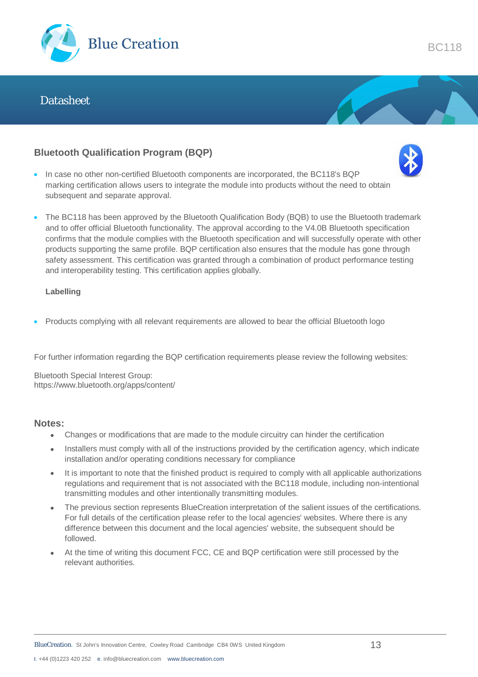

### **Bluetooth Qualification Program (BQP)**



- In case no other non-certified Bluetooth components are incorporated, the BC118's BQP marking certification allows users to integrate the module into products without the need to obtain subsequent and separate approval.
- The BC118 has been approved by the Bluetooth Qualification Body (BQB) to use the Bluetooth trademark and to offer official Bluetooth functionality. The approval according to the V4.0B Bluetooth specification confirms that the module complies with the Bluetooth specification and will successfully operate with other products supporting the same profile. BQP certification also ensures that the module has gone through safety assessment. This certification was granted through a combination of product performance testing and interoperability testing. This certification applies globally.

#### **Labelling**

Products complying with all relevant requirements are allowed to bear the official Bluetooth logo

For further information regarding the BQP certification requirements please review the following websites:

Bluetooth Special Interest Group: https://www.bluetooth.org/apps/content/

#### **Notes:**

- Changes or modifications that are made to the module circuitry can hinder the certification
- Installers must comply with all of the instructions provided by the certification agency, which indicate installation and/or operating conditions necessary for compliance
- It is important to note that the finished product is required to comply with all applicable authorizations regulations and requirement that is not associated with the BC118 module, including non-intentional transmitting modules and other intentionally transmitting modules.
- The previous section represents BlueCreation interpretation of the salient issues of the certifications. For full details of the certification please refer to the local agencies' websites. Where there is any difference between this document and the local agencies' website, the subsequent should be followed.
- At the time of writing this document FCC, CE and BQP certification were still processed by the relevant authorities.